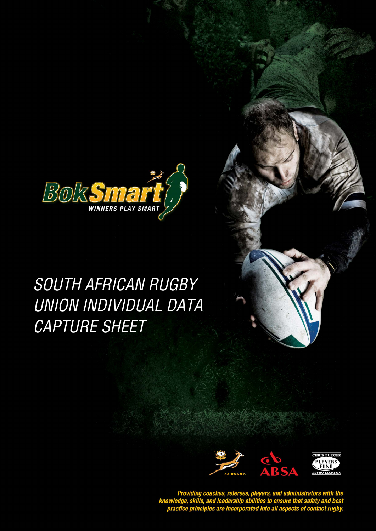

## **SOUTH AFRICAN RUGBY** UNION INDIVIDUAL DATA CAPTURE SHEET



Providing coaches, referees, players, and administrators with the<br>knowledge, skills, and leadership abilities to ensure that safety and best<br>practice principles are incorporated into all aspects of contact rugby.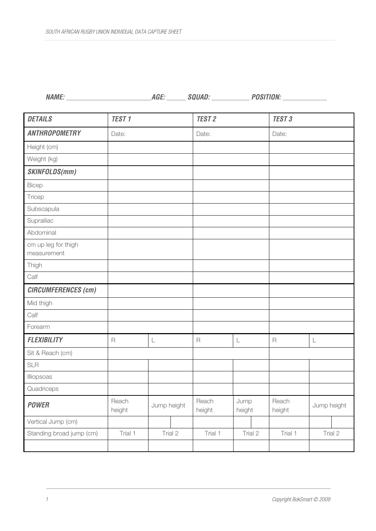**NAME:** \_\_\_\_\_\_\_\_\_\_\_\_\_\_\_\_\_\_\_\_\_\_\_\_\_\_\_**AGE:** \_\_\_\_\_\_ **SQUAD:** \_\_\_\_\_\_\_\_\_\_\_\_ **POSITION:** \_\_\_\_\_\_\_\_\_\_\_\_\_\_

| <b>DETAILS</b>                     | <b>TEST1</b>    |             | <b>TEST 2</b>   |                | <b>TEST 3</b>   |             |  |  |
|------------------------------------|-----------------|-------------|-----------------|----------------|-----------------|-------------|--|--|
| <b>ANTHROPOMETRY</b>               | Date:           |             | Date:           |                | Date:           |             |  |  |
| Height (cm)                        |                 |             |                 |                |                 |             |  |  |
| Weight (kg)                        |                 |             |                 |                |                 |             |  |  |
| <b>SKINFOLDS(mm)</b>               |                 |             |                 |                |                 |             |  |  |
| Bicep                              |                 |             |                 |                |                 |             |  |  |
| Tricep                             |                 |             |                 |                |                 |             |  |  |
| Subscapula                         |                 |             |                 |                |                 |             |  |  |
| Suprailiac                         |                 |             |                 |                |                 |             |  |  |
| Abdominal                          |                 |             |                 |                |                 |             |  |  |
| cm up leg for thigh<br>measurement |                 |             |                 |                |                 |             |  |  |
| Thigh                              |                 |             |                 |                |                 |             |  |  |
| Calf                               |                 |             |                 |                |                 |             |  |  |
| <b>CIRCUMFERENCES (cm)</b>         |                 |             |                 |                |                 |             |  |  |
| Mid thigh                          |                 |             |                 |                |                 |             |  |  |
| Calf                               |                 |             |                 |                |                 |             |  |  |
| Forearm                            |                 |             |                 |                |                 |             |  |  |
| <b>FLEXIBILITY</b>                 | $\mathsf{R}$    | L           | $\overline{R}$  | L              | $\mathsf R$     | L           |  |  |
| Sit & Reach (cm)                   |                 |             |                 |                |                 |             |  |  |
| <b>SLR</b>                         |                 |             |                 |                |                 |             |  |  |
| Illiopsoas                         |                 |             |                 |                |                 |             |  |  |
| Quadriceps                         |                 |             |                 |                |                 |             |  |  |
| <b>POWER</b>                       | Reach<br>height | Jump height | Reach<br>height | Jump<br>height | Reach<br>height | Jump height |  |  |
| Vertical Jump (cm)                 |                 |             |                 |                |                 |             |  |  |
| Standing broad jump (cm)           | Trial 1         | Trial 2     | Trial 1         | Trial 2        | Trial 1         | Trial 2     |  |  |
|                                    |                 |             |                 |                |                 |             |  |  |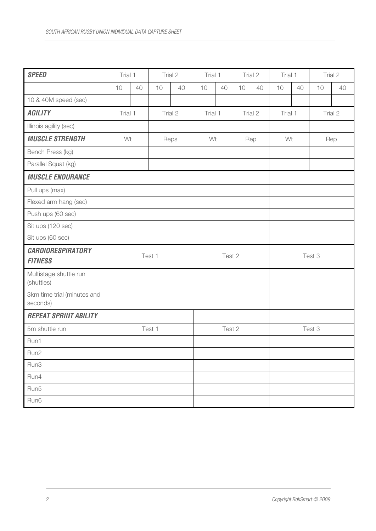| <b>SPEED</b>                               | Trial 1 |         | Trial 2 |         | Trial 1 |         | Trial 2 |         | Trial 1 |         | Trial 2 |         |  |
|--------------------------------------------|---------|---------|---------|---------|---------|---------|---------|---------|---------|---------|---------|---------|--|
|                                            | 10      | 40      | 10      | 40      | 10      | 40      | 10      | 40      | 10      | 40      | 10      | 40      |  |
| 10 & 40M speed (sec)                       |         |         |         |         |         |         |         |         |         |         |         |         |  |
| <b>AGILITY</b>                             |         | Trial 1 |         | Trial 2 |         | Trial 1 |         | Trial 2 |         | Trial 1 |         | Trial 2 |  |
| Illinois agility (sec)                     |         |         |         |         |         |         |         |         |         |         |         |         |  |
| <b>MUSCLE STRENGTH</b>                     | Wt      |         | Reps    |         | Wt      |         | Rep     |         | Wt      |         | Rep     |         |  |
| Bench Press (kg)                           |         |         |         |         |         |         |         |         |         |         |         |         |  |
| Parallel Squat (kg)                        |         |         |         |         |         |         |         |         |         |         |         |         |  |
| <b>MUSCLE ENDURANCE</b>                    |         |         |         |         |         |         |         |         |         |         |         |         |  |
| Pull ups (max)                             |         |         |         |         |         |         |         |         |         |         |         |         |  |
| Flexed arm hang (sec)                      |         |         |         |         |         |         |         |         |         |         |         |         |  |
| Push ups (60 sec)                          |         |         |         |         |         |         |         |         |         |         |         |         |  |
| Sit ups (120 sec)                          |         |         |         |         |         |         |         |         |         |         |         |         |  |
| Sit ups (60 sec)                           |         |         |         |         |         |         |         |         |         |         |         |         |  |
| <b>CARDIORESPIRATORY</b><br><b>FITNESS</b> | Test 1  |         |         | Test 2  |         |         | Test 3  |         |         |         |         |         |  |
| Multistage shuttle run<br>(shuttles)       |         |         |         |         |         |         |         |         |         |         |         |         |  |
| 3km time trial (minutes and<br>seconds)    |         |         |         |         |         |         |         |         |         |         |         |         |  |
| <b>REPEAT SPRINT ABILITY</b>               |         |         |         |         |         |         |         |         |         |         |         |         |  |
| 5m shuttle run                             | Test 1  |         | Test 2  |         | Test 3  |         |         |         |         |         |         |         |  |
| Run1                                       |         |         |         |         |         |         |         |         |         |         |         |         |  |
| Run2                                       |         |         |         |         |         |         |         |         |         |         |         |         |  |
| Run3                                       |         |         |         |         |         |         |         |         |         |         |         |         |  |
| Run4                                       |         |         |         |         |         |         |         |         |         |         |         |         |  |
| Run5                                       |         |         |         |         |         |         |         |         |         |         |         |         |  |
| Run6                                       |         |         |         |         |         |         |         |         |         |         |         |         |  |